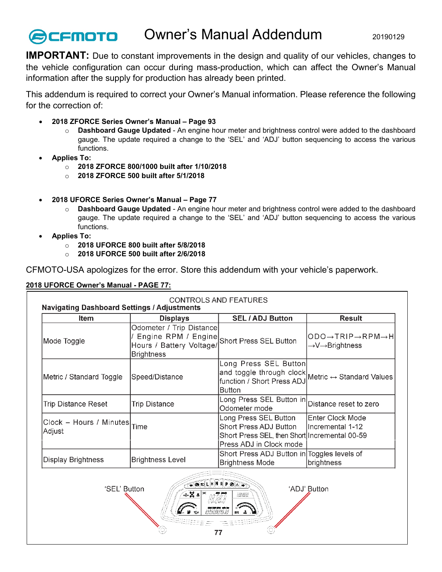## Owner's Manual Addendum 20190129 **CFMOTO**

**IMPORTANT:** Due to constant improvements in the design and quality of our vehicles, changes to the vehicle configuration can occur during mass-production, which can affect the Owner's Manual information after the supply for production has already been printed.

This addendum is required to correct your Owner's Manual information. Please reference the following for the correction of:

- **2018 ZFORCE Series Owner's Manual – Page 93**
	- o **Dashboard Gauge Updated** An engine hour meter and brightness control were added to the dashboard gauge. The update required a change to the 'SEL' and 'ADJ' button sequencing to access the various functions.
- **Applies To:**
	- o **2018 ZFORCE 800/1000 built after 1/10/2018**
	- o **2018 ZFORCE 500 built after 5/1/2018**
- **2018 UFORCE Series Owner's Manual – Page 77**
	- o **Dashboard Gauge Updated** An engine hour meter and brightness control were added to the dashboard gauge. The update required a change to the 'SEL' and 'ADJ' button sequencing to access the various functions.
- **Applies To:**
	- o **2018 UFORCE 800 built after 5/8/2018**
	- o **2018 UFORCE 500 built after 2/6/2018**

CFMOTO-USA apologizes for the error. Store this addendum with your vehicle's paperwork.

## **2018 UFORCE Owner's Manual - PAGE 77:**

| <b>Navigating Dashboard Settings / Adjustments</b>                          |                                                                                                                  |                                                                                                                                           |                                                                                                  |  |  |
|-----------------------------------------------------------------------------|------------------------------------------------------------------------------------------------------------------|-------------------------------------------------------------------------------------------------------------------------------------------|--------------------------------------------------------------------------------------------------|--|--|
| <b>Item</b>                                                                 | <b>Displays</b>                                                                                                  | <b>SEL / ADJ Button</b>                                                                                                                   | <b>Result</b>                                                                                    |  |  |
| Mode Toggle                                                                 | Odometer / Trip Distance<br>Engine RPM / Engine Short Press SEL Button<br>Hours / Battery Voltage/<br>Brightness |                                                                                                                                           | $ODO \rightarrow TRIP \rightarrow RPM \rightarrow H$<br>$\rightarrow$ V $\rightarrow$ Brightness |  |  |
| Metric / Standard Toggle                                                    | Speed/Distance                                                                                                   | Long Press SEL Button<br>and toggle through clock Metric $\leftrightarrow$ Standard Values<br>function / Short Press ADJ<br><b>Button</b> |                                                                                                  |  |  |
| <b>Trip Distance Reset</b>                                                  | <b>Trip Distance</b>                                                                                             | Long Press SEL Button in <br>Odometer mode                                                                                                | Distance reset to zero                                                                           |  |  |
| $Clock - Hours / Minutes   Time$<br>Adjust                                  |                                                                                                                  | Long Press SEL Button<br>Short Press ADJ Button<br>Short Press SEL, then Short Incremental 00-59<br>Press ADJ in Clock mode               | Enter Clock Mode<br>lIncremental 1-12                                                            |  |  |
| <b>Display Brightness</b>                                                   | <b>Brightness Level</b>                                                                                          | Short Press ADJ Button in Toggles levels of<br><b>Brightness Mode</b>                                                                     | brightness                                                                                       |  |  |
| <b>ABDLHNRPOAT</b><br>'SEL' Button<br>'ADJ' Button<br>⊛¦X ≉<br>556555<br>77 |                                                                                                                  |                                                                                                                                           |                                                                                                  |  |  |